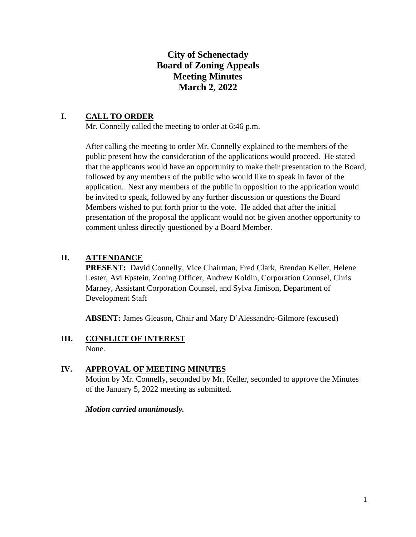# **City of Schenectady Board of Zoning Appeals Meeting Minutes March 2, 2022**

## **I. CALL TO ORDER**

Mr. Connelly called the meeting to order at 6:46 p.m.

After calling the meeting to order Mr. Connelly explained to the members of the public present how the consideration of the applications would proceed. He stated that the applicants would have an opportunity to make their presentation to the Board, followed by any members of the public who would like to speak in favor of the application. Next any members of the public in opposition to the application would be invited to speak, followed by any further discussion or questions the Board Members wished to put forth prior to the vote. He added that after the initial presentation of the proposal the applicant would not be given another opportunity to comment unless directly questioned by a Board Member.

# **II. ATTENDANCE**

PRESENT: David Connelly, Vice Chairman, Fred Clark, Brendan Keller, Helene Lester, Avi Epstein, Zoning Officer, Andrew Koldin, Corporation Counsel, Chris Marney, Assistant Corporation Counsel, and Sylva Jimison, Department of Development Staff

**ABSENT:** James Gleason, Chair and Mary D'Alessandro-Gilmore (excused)

#### **III. CONFLICT OF INTEREST** None.

## **IV. APPROVAL OF MEETING MINUTES**

Motion by Mr. Connelly, seconded by Mr. Keller, seconded to approve the Minutes of the January 5, 2022 meeting as submitted.

#### *Motion carried unanimously.*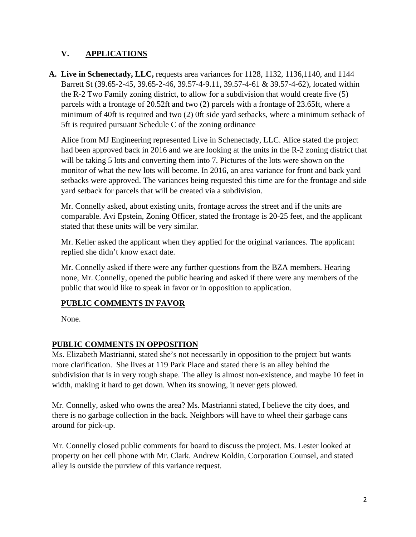# **V. APPLICATIONS**

**A. Live in Schenectady, LLC,** requests area variances for 1128, 1132, 1136,1140, and 1144 Barrett St (39.65-2-45, 39.65-2-46, 39.57-4-9.11, 39.57-4-61 & 39.57-4-62), located within the R-2 Two Family zoning district, to allow for a subdivision that would create five (5) parcels with a frontage of 20.52ft and two (2) parcels with a frontage of 23.65ft, where a minimum of 40ft is required and two (2) 0ft side yard setbacks, where a minimum setback of 5ft is required pursuant Schedule C of the zoning ordinance

Alice from MJ Engineering represented Live in Schenectady, LLC. Alice stated the project had been approved back in 2016 and we are looking at the units in the R-2 zoning district that will be taking 5 lots and converting them into 7. Pictures of the lots were shown on the monitor of what the new lots will become. In 2016, an area variance for front and back yard setbacks were approved. The variances being requested this time are for the frontage and side yard setback for parcels that will be created via a subdivision.

Mr. Connelly asked, about existing units, frontage across the street and if the units are comparable. Avi Epstein, Zoning Officer, stated the frontage is 20-25 feet, and the applicant stated that these units will be very similar.

Mr. Keller asked the applicant when they applied for the original variances. The applicant replied she didn't know exact date.

Mr. Connelly asked if there were any further questions from the BZA members. Hearing none, Mr. Connelly, opened the public hearing and asked if there were any members of the public that would like to speak in favor or in opposition to application.

# **PUBLIC COMMENTS IN FAVOR**

None.

# **PUBLIC COMMENTS IN OPPOSITION**

Ms. Elizabeth Mastrianni, stated she's not necessarily in opposition to the project but wants more clarification. She lives at 119 Park Place and stated there is an alley behind the subdivision that is in very rough shape. The alley is almost non-existence, and maybe 10 feet in width, making it hard to get down. When its snowing, it never gets plowed.

Mr. Connelly, asked who owns the area? Ms. Mastrianni stated, I believe the city does, and there is no garbage collection in the back. Neighbors will have to wheel their garbage cans around for pick-up.

Mr. Connelly closed public comments for board to discuss the project. Ms. Lester looked at property on her cell phone with Mr. Clark. Andrew Koldin, Corporation Counsel, and stated alley is outside the purview of this variance request.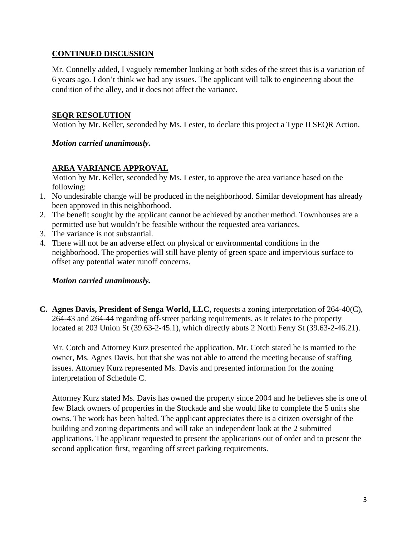### **CONTINUED DISCUSSION**

Mr. Connelly added, I vaguely remember looking at both sides of the street this is a variation of 6 years ago. I don't think we had any issues. The applicant will talk to engineering about the condition of the alley, and it does not affect the variance.

### **SEQR RESOLUTION**

Motion by Mr. Keller, seconded by Ms. Lester, to declare this project a Type II SEQR Action.

*Motion carried unanimously.* 

## **AREA VARIANCE APPROVAL**

Motion by Mr. Keller, seconded by Ms. Lester, to approve the area variance based on the following:

- 1. No undesirable change will be produced in the neighborhood. Similar development has already been approved in this neighborhood.
- 2. The benefit sought by the applicant cannot be achieved by another method. Townhouses are a permitted use but wouldn't be feasible without the requested area variances.
- 3. The variance is not substantial.
- 4. There will not be an adverse effect on physical or environmental conditions in the neighborhood. The properties will still have plenty of green space and impervious surface to offset any potential water runoff concerns.

#### *Motion carried unanimously.*

**C. Agnes Davis, President of Senga World, LLC**, requests a zoning interpretation of 264-40(C), 264-43 and 264-44 regarding off-street parking requirements, as it relates to the property located at 203 Union St (39.63-2-45.1), which directly abuts 2 North Ferry St (39.63-2-46.21).

Mr. Cotch and Attorney Kurz presented the application. Mr. Cotch stated he is married to the owner, Ms. Agnes Davis, but that she was not able to attend the meeting because of staffing issues. Attorney Kurz represented Ms. Davis and presented information for the zoning interpretation of Schedule C.

Attorney Kurz stated Ms. Davis has owned the property since 2004 and he believes she is one of few Black owners of properties in the Stockade and she would like to complete the 5 units she owns. The work has been halted. The applicant appreciates there is a citizen oversight of the building and zoning departments and will take an independent look at the 2 submitted applications. The applicant requested to present the applications out of order and to present the second application first, regarding off street parking requirements.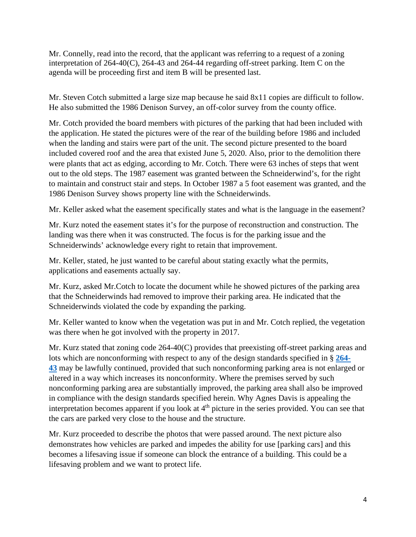Mr. Connelly, read into the record, that the applicant was referring to a request of a zoning interpretation of 264-40(C), 264-43 and 264-44 regarding off-street parking. Item C on the agenda will be proceeding first and item B will be presented last.

Mr. Steven Cotch submitted a large size map because he said 8x11 copies are difficult to follow. He also submitted the 1986 Denison Survey, an off-color survey from the county office.

Mr. Cotch provided the board members with pictures of the parking that had been included with the application. He stated the pictures were of the rear of the building before 1986 and included when the landing and stairs were part of the unit. The second picture presented to the board included covered roof and the area that existed June 5, 2020. Also, prior to the demolition there were plants that act as edging, according to Mr. Cotch. There were 63 inches of steps that went out to the old steps. The 1987 easement was granted between the Schneiderwind's, for the right to maintain and construct stair and steps. In October 1987 a 5 foot easement was granted, and the 1986 Denison Survey shows property line with the Schneiderwinds.

Mr. Keller asked what the easement specifically states and what is the language in the easement?

Mr. Kurz noted the easement states it's for the purpose of reconstruction and construction. The landing was there when it was constructed. The focus is for the parking issue and the Schneiderwinds' acknowledge every right to retain that improvement.

Mr. Keller, stated, he just wanted to be careful about stating exactly what the permits, applications and easements actually say.

Mr. Kurz, asked Mr.Cotch to locate the document while he showed pictures of the parking area that the Schneiderwinds had removed to improve their parking area. He indicated that the Schneiderwinds violated the code by expanding the parking.

Mr. Keller wanted to know when the vegetation was put in and Mr. Cotch replied, the vegetation was there when he got involved with the property in 2017.

Mr. Kurz stated that zoning code 264-40(C) provides that preexisting off-street parking areas and lots which are nonconforming with respect to any of the design standards specified in § **[264-](https://ecode360.com/8692112#8692112) [43](https://ecode360.com/8692112#8692112)** may be lawfully continued, provided that such nonconforming parking area is not enlarged or altered in a way which increases its nonconformity. Where the premises served by such nonconforming parking area are substantially improved, the parking area shall also be improved in compliance with the design standards specified herein. Why Agnes Davis is appealing the interpretation becomes apparent if you look at  $4<sup>th</sup>$  picture in the series provided. You can see that the cars are parked very close to the house and the structure.

Mr. Kurz proceeded to describe the photos that were passed around. The next picture also demonstrates how vehicles are parked and impedes the ability for use [parking cars] and this becomes a lifesaving issue if someone can block the entrance of a building. This could be a lifesaving problem and we want to protect life.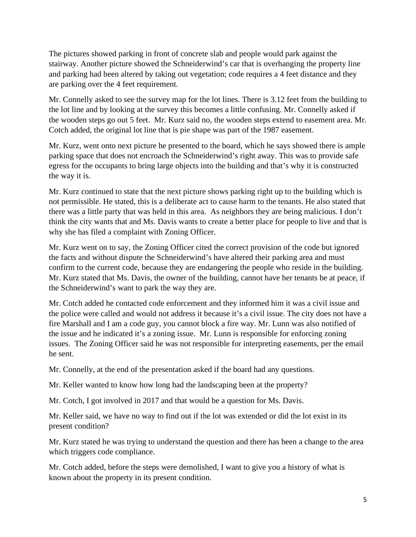The pictures showed parking in front of concrete slab and people would park against the stairway. Another picture showed the Schneiderwind's car that is overhanging the property line and parking had been altered by taking out vegetation; code requires a 4 feet distance and they are parking over the 4 feet requirement.

Mr. Connelly asked to see the survey map for the lot lines. There is 3.12 feet from the building to the lot line and by looking at the survey this becomes a little confusing. Mr. Connelly asked if the wooden steps go out 5 feet. Mr. Kurz said no, the wooden steps extend to easement area. Mr. Cotch added, the original lot line that is pie shape was part of the 1987 easement.

Mr. Kurz, went onto next picture he presented to the board, which he says showed there is ample parking space that does not encroach the Schneiderwind's right away. This was to provide safe egress for the occupants to bring large objects into the building and that's why it is constructed the way it is.

Mr. Kurz continued to state that the next picture shows parking right up to the building which is not permissible. He stated, this is a deliberate act to cause harm to the tenants. He also stated that there was a little party that was held in this area. As neighbors they are being malicious. I don't think the city wants that and Ms. Davis wants to create a better place for people to live and that is why she has filed a complaint with Zoning Officer.

Mr. Kurz went on to say, the Zoning Officer cited the correct provision of the code but ignored the facts and without dispute the Schneiderwind's have altered their parking area and must confirm to the current code, because they are endangering the people who reside in the building. Mr. Kurz stated that Ms. Davis, the owner of the building, cannot have her tenants be at peace, if the Schneiderwind's want to park the way they are.

Mr. Cotch added he contacted code enforcement and they informed him it was a civil issue and the police were called and would not address it because it's a civil issue. The city does not have a fire Marshall and I am a code guy, you cannot block a fire way. Mr. Lunn was also notified of the issue and he indicated it's a zoning issue. Mr. Lunn is responsible for enforcing zoning issues. The Zoning Officer said he was not responsible for interpreting easements, per the email he sent.

Mr. Connelly, at the end of the presentation asked if the board had any questions.

Mr. Keller wanted to know how long had the landscaping been at the property?

Mr. Cotch, I got involved in 2017 and that would be a question for Ms. Davis.

Mr. Keller said, we have no way to find out if the lot was extended or did the lot exist in its present condition?

Mr. Kurz stated he was trying to understand the question and there has been a change to the area which triggers code compliance.

Mr. Cotch added, before the steps were demolished, I want to give you a history of what is known about the property in its present condition.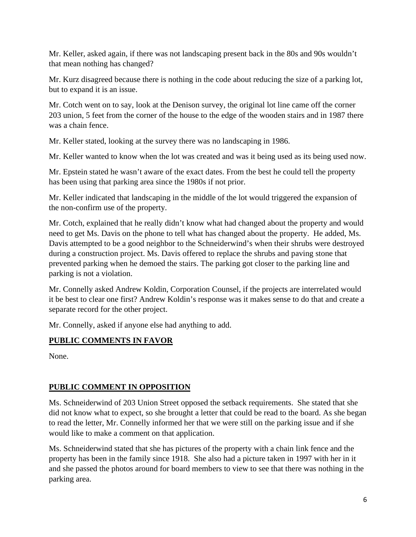Mr. Keller, asked again, if there was not landscaping present back in the 80s and 90s wouldn't that mean nothing has changed?

Mr. Kurz disagreed because there is nothing in the code about reducing the size of a parking lot, but to expand it is an issue.

Mr. Cotch went on to say, look at the Denison survey, the original lot line came off the corner 203 union, 5 feet from the corner of the house to the edge of the wooden stairs and in 1987 there was a chain fence.

Mr. Keller stated, looking at the survey there was no landscaping in 1986.

Mr. Keller wanted to know when the lot was created and was it being used as its being used now.

Mr. Epstein stated he wasn't aware of the exact dates. From the best he could tell the property has been using that parking area since the 1980s if not prior.

Mr. Keller indicated that landscaping in the middle of the lot would triggered the expansion of the non-confirm use of the property.

Mr. Cotch, explained that he really didn't know what had changed about the property and would need to get Ms. Davis on the phone to tell what has changed about the property. He added, Ms. Davis attempted to be a good neighbor to the Schneiderwind's when their shrubs were destroyed during a construction project. Ms. Davis offered to replace the shrubs and paving stone that prevented parking when he demoed the stairs. The parking got closer to the parking line and parking is not a violation.

Mr. Connelly asked Andrew Koldin, Corporation Counsel, if the projects are interrelated would it be best to clear one first? Andrew Koldin's response was it makes sense to do that and create a separate record for the other project.

Mr. Connelly, asked if anyone else had anything to add.

# **PUBLIC COMMENTS IN FAVOR**

None.

# **PUBLIC COMMENT IN OPPOSITION**

Ms. Schneiderwind of 203 Union Street opposed the setback requirements. She stated that she did not know what to expect, so she brought a letter that could be read to the board. As she began to read the letter, Mr. Connelly informed her that we were still on the parking issue and if she would like to make a comment on that application.

Ms. Schneiderwind stated that she has pictures of the property with a chain link fence and the property has been in the family since 1918. She also had a picture taken in 1997 with her in it and she passed the photos around for board members to view to see that there was nothing in the parking area.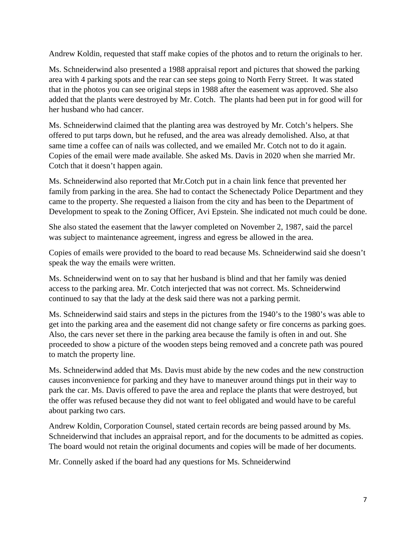Andrew Koldin, requested that staff make copies of the photos and to return the originals to her.

Ms. Schneiderwind also presented a 1988 appraisal report and pictures that showed the parking area with 4 parking spots and the rear can see steps going to North Ferry Street. It was stated that in the photos you can see original steps in 1988 after the easement was approved. She also added that the plants were destroyed by Mr. Cotch. The plants had been put in for good will for her husband who had cancer.

Ms. Schneiderwind claimed that the planting area was destroyed by Mr. Cotch's helpers. She offered to put tarps down, but he refused, and the area was already demolished. Also, at that same time a coffee can of nails was collected, and we emailed Mr. Cotch not to do it again. Copies of the email were made available. She asked Ms. Davis in 2020 when she married Mr. Cotch that it doesn't happen again.

Ms. Schneiderwind also reported that Mr.Cotch put in a chain link fence that prevented her family from parking in the area. She had to contact the Schenectady Police Department and they came to the property. She requested a liaison from the city and has been to the Department of Development to speak to the Zoning Officer, Avi Epstein. She indicated not much could be done.

She also stated the easement that the lawyer completed on November 2, 1987, said the parcel was subject to maintenance agreement, ingress and egress be allowed in the area.

Copies of emails were provided to the board to read because Ms. Schneiderwind said she doesn't speak the way the emails were written.

Ms. Schneiderwind went on to say that her husband is blind and that her family was denied access to the parking area. Mr. Cotch interjected that was not correct. Ms. Schneiderwind continued to say that the lady at the desk said there was not a parking permit.

Ms. Schneiderwind said stairs and steps in the pictures from the 1940's to the 1980's was able to get into the parking area and the easement did not change safety or fire concerns as parking goes. Also, the cars never set there in the parking area because the family is often in and out. She proceeded to show a picture of the wooden steps being removed and a concrete path was poured to match the property line.

Ms. Schneiderwind added that Ms. Davis must abide by the new codes and the new construction causes inconvenience for parking and they have to maneuver around things put in their way to park the car. Ms. Davis offered to pave the area and replace the plants that were destroyed, but the offer was refused because they did not want to feel obligated and would have to be careful about parking two cars.

Andrew Koldin, Corporation Counsel, stated certain records are being passed around by Ms. Schneiderwind that includes an appraisal report, and for the documents to be admitted as copies. The board would not retain the original documents and copies will be made of her documents.

Mr. Connelly asked if the board had any questions for Ms. Schneiderwind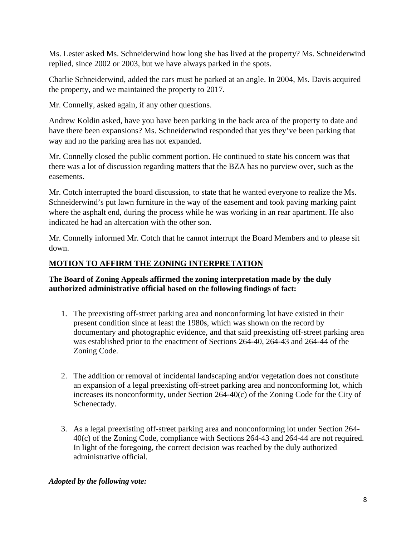Ms. Lester asked Ms. Schneiderwind how long she has lived at the property? Ms. Schneiderwind replied, since 2002 or 2003, but we have always parked in the spots.

Charlie Schneiderwind, added the cars must be parked at an angle. In 2004, Ms. Davis acquired the property, and we maintained the property to 2017.

Mr. Connelly, asked again, if any other questions.

Andrew Koldin asked, have you have been parking in the back area of the property to date and have there been expansions? Ms. Schneiderwind responded that yes they've been parking that way and no the parking area has not expanded.

Mr. Connelly closed the public comment portion. He continued to state his concern was that there was a lot of discussion regarding matters that the BZA has no purview over, such as the easements.

Mr. Cotch interrupted the board discussion, to state that he wanted everyone to realize the Ms. Schneiderwind's put lawn furniture in the way of the easement and took paving marking paint where the asphalt end, during the process while he was working in an rear apartment. He also indicated he had an altercation with the other son.

Mr. Connelly informed Mr. Cotch that he cannot interrupt the Board Members and to please sit down.

# **MOTION TO AFFIRM THE ZONING INTERPRETATION**

## **The Board of Zoning Appeals affirmed the zoning interpretation made by the duly authorized administrative official based on the following findings of fact:**

- 1. The preexisting off-street parking area and nonconforming lot have existed in their present condition since at least the 1980s, which was shown on the record by documentary and photographic evidence, and that said preexisting off-street parking area was established prior to the enactment of Sections 264-40, 264-43 and 264-44 of the Zoning Code.
- 2. The addition or removal of incidental landscaping and/or vegetation does not constitute an expansion of a legal preexisting off-street parking area and nonconforming lot, which increases its nonconformity, under Section 264-40(c) of the Zoning Code for the City of Schenectady.
- 3. As a legal preexisting off-street parking area and nonconforming lot under Section 264- 40(c) of the Zoning Code, compliance with Sections 264-43 and 264-44 are not required. In light of the foregoing, the correct decision was reached by the duly authorized administrative official.

# *Adopted by the following vote:*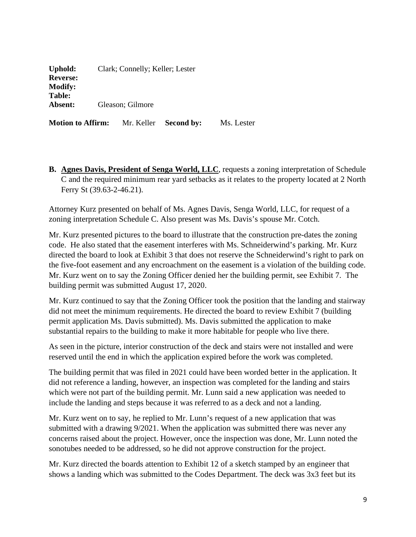| <b>Uphold:</b>  | Clark; Connelly; Keller; Lester |
|-----------------|---------------------------------|
| <b>Reverse:</b> |                                 |
| <b>Modify:</b>  |                                 |
| <b>Table:</b>   |                                 |
| Absent:         | Gleason; Gilmore                |
|                 |                                 |

**Motion to Affirm:** Mr. Keller **Second by:** Ms. Lester

**B. Agnes Davis, President of Senga World, LLC**, requests a zoning interpretation of Schedule C and the required minimum rear yard setbacks as it relates to the property located at 2 North Ferry St (39.63-2-46.21).

Attorney Kurz presented on behalf of Ms. Agnes Davis, Senga World, LLC, for request of a zoning interpretation Schedule C. Also present was Ms. Davis's spouse Mr. Cotch.

Mr. Kurz presented pictures to the board to illustrate that the construction pre-dates the zoning code. He also stated that the easement interferes with Ms. Schneiderwind's parking. Mr. Kurz directed the board to look at Exhibit 3 that does not reserve the Schneiderwind's right to park on the five-foot easement and any encroachment on the easement is a violation of the building code. Mr. Kurz went on to say the Zoning Officer denied her the building permit, see Exhibit 7. The building permit was submitted August 17, 2020.

Mr. Kurz continued to say that the Zoning Officer took the position that the landing and stairway did not meet the minimum requirements. He directed the board to review Exhibit 7 (building permit application Ms. Davis submitted). Ms. Davis submitted the application to make substantial repairs to the building to make it more habitable for people who live there.

As seen in the picture, interior construction of the deck and stairs were not installed and were reserved until the end in which the application expired before the work was completed.

The building permit that was filed in 2021 could have been worded better in the application. It did not reference a landing, however, an inspection was completed for the landing and stairs which were not part of the building permit. Mr. Lunn said a new application was needed to include the landing and steps because it was referred to as a deck and not a landing.

Mr. Kurz went on to say, he replied to Mr. Lunn's request of a new application that was submitted with a drawing 9/2021. When the application was submitted there was never any concerns raised about the project. However, once the inspection was done, Mr. Lunn noted the sonotubes needed to be addressed, so he did not approve construction for the project.

Mr. Kurz directed the boards attention to Exhibit 12 of a sketch stamped by an engineer that shows a landing which was submitted to the Codes Department. The deck was 3x3 feet but its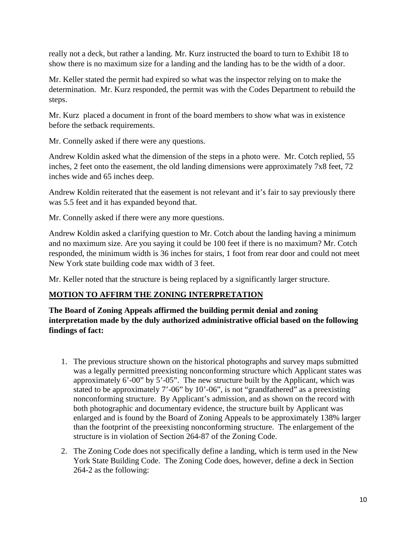really not a deck, but rather a landing. Mr. Kurz instructed the board to turn to Exhibit 18 to show there is no maximum size for a landing and the landing has to be the width of a door.

Mr. Keller stated the permit had expired so what was the inspector relying on to make the determination. Mr. Kurz responded, the permit was with the Codes Department to rebuild the steps.

Mr. Kurz placed a document in front of the board members to show what was in existence before the setback requirements.

Mr. Connelly asked if there were any questions.

Andrew Koldin asked what the dimension of the steps in a photo were. Mr. Cotch replied, 55 inches, 2 feet onto the easement, the old landing dimensions were approximately 7x8 feet, 72 inches wide and 65 inches deep.

Andrew Koldin reiterated that the easement is not relevant and it's fair to say previously there was 5.5 feet and it has expanded beyond that.

Mr. Connelly asked if there were any more questions.

Andrew Koldin asked a clarifying question to Mr. Cotch about the landing having a minimum and no maximum size. Are you saying it could be 100 feet if there is no maximum? Mr. Cotch responded, the minimum width is 36 inches for stairs, 1 foot from rear door and could not meet New York state building code max width of 3 feet.

Mr. Keller noted that the structure is being replaced by a significantly larger structure.

# **MOTION TO AFFIRM THE ZONING INTERPRETATION**

**The Board of Zoning Appeals affirmed the building permit denial and zoning interpretation made by the duly authorized administrative official based on the following findings of fact:**

- 1. The previous structure shown on the historical photographs and survey maps submitted was a legally permitted preexisting nonconforming structure which Applicant states was approximately 6'-00" by 5'-05". The new structure built by the Applicant, which was stated to be approximately 7'-06" by 10'-06", is not "grandfathered" as a preexisting nonconforming structure. By Applicant's admission, and as shown on the record with both photographic and documentary evidence, the structure built by Applicant was enlarged and is found by the Board of Zoning Appeals to be approximately 138% larger than the footprint of the preexisting nonconforming structure. The enlargement of the structure is in violation of Section 264-87 of the Zoning Code.
- 2. The Zoning Code does not specifically define a landing, which is term used in the New York State Building Code. The Zoning Code does, however, define a deck in Section 264-2 as the following: